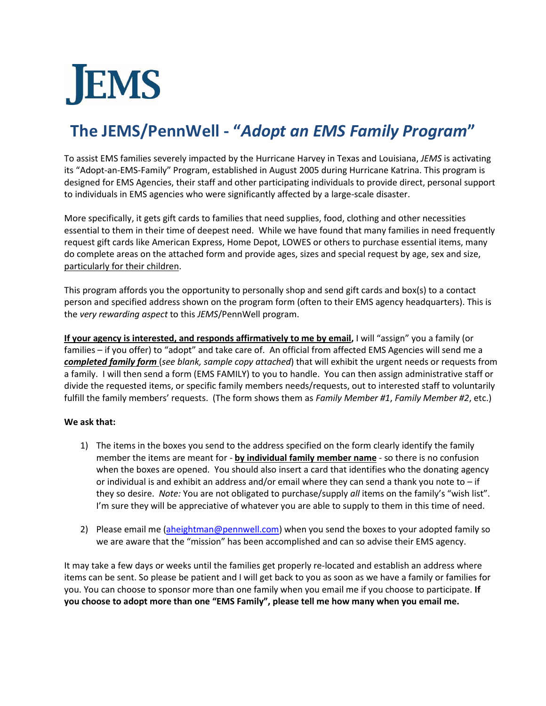# **JEMS**

# **The JEMS/PennWell - "***Adopt an EMS Family Program***"**

To assist EMS families severely impacted by the Hurricane Harvey in Texas and Louisiana, *JEMS* is activating its "Adopt-an-EMS-Family" Program, established in August 2005 during Hurricane Katrina. This program is designed for EMS Agencies, their staff and other participating individuals to provide direct, personal support to individuals in EMS agencies who were significantly affected by a large-scale disaster.

More specifically, it gets gift cards to families that need supplies, food, clothing and other necessities essential to them in their time of deepest need. While we have found that many families in need frequently request gift cards like American Express, Home Depot, LOWES or others to purchase essential items, many do complete areas on the attached form and provide ages, sizes and special request by age, sex and size, particularly for their children.

This program affords you the opportunity to personally shop and send gift cards and box(s) to a contact person and specified address shown on the program form (often to their EMS agency headquarters). This is the *very rewarding aspect* to this *JEMS*/PennWell program.

**If your agency is interested, and responds affirmatively to me by email,** I will "assign" you a family (or families – if you offer) to "adopt" and take care of. An official from affected EMS Agencies will send me a *completed family form* (*see blank, sample copy attached*) that will exhibit the urgent needs or requests from a family. I will then send a form (EMS FAMILY) to you to handle. You can then assign administrative staff or divide the requested items, or specific family members needs/requests, out to interested staff to voluntarily fulfill the family members' requests. (The form shows them as *Family Member #1*, *Family Member #2*, etc.)

#### **We ask that:**

- 1) The items in the boxes you send to the address specified on the form clearly identify the family member the items are meant for - **by individual family member name** - so there is no confusion when the boxes are opened. You should also insert a card that identifies who the donating agency or individual is and exhibit an address and/or email where they can send a thank you note to  $-i$  f they so desire. *Note:* You are not obligated to purchase/supply *all* items on the family's "wish list". I'm sure they will be appreciative of whatever you are able to supply to them in this time of need.
- 2) Please email me [\(aheightman@pennwell.com\)](mailto:aheightman@pennwell.com) when you send the boxes to your adopted family so we are aware that the "mission" has been accomplished and can so advise their EMS agency.

It may take a few days or weeks until the families get properly re-located and establish an address where items can be sent. So please be patient and I will get back to you as soon as we have a family or families for you. You can choose to sponsor more than one family when you email me if you choose to participate. **If you choose to adopt more than one "EMS Family", please tell me how many when you email me.**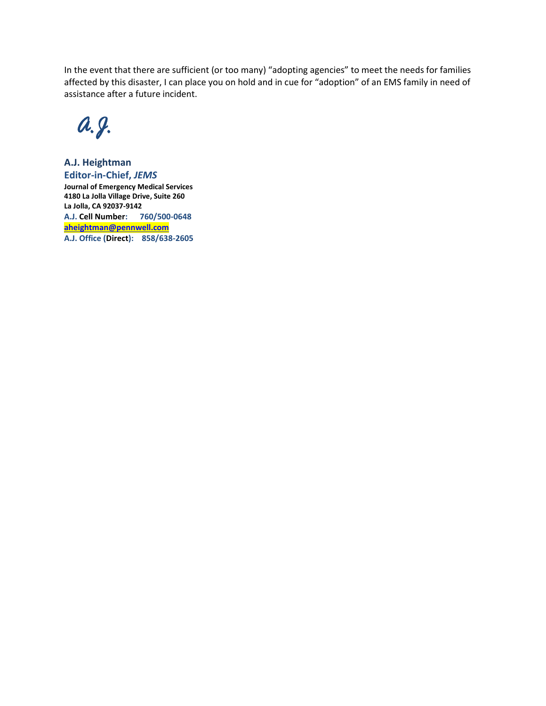In the event that there are sufficient (or too many) "adopting agencies" to meet the needs for families affected by this disaster, I can place you on hold and in cue for "adoption" of an EMS family in need of assistance after a future incident.

 *A.J.* 

**A.J. Heightman Editor-in-Chief,** *JEMS* **Journal of Emergency Medical Services 4180 La Jolla Village Drive, Suite 260 La Jolla, CA 92037-9142 A.J. Cell Number: 760/500-0648 [aheightman@pennwell.com](mailto:aheightman@pennwell.com) A.J. Office (Direct): 858/638-2605**